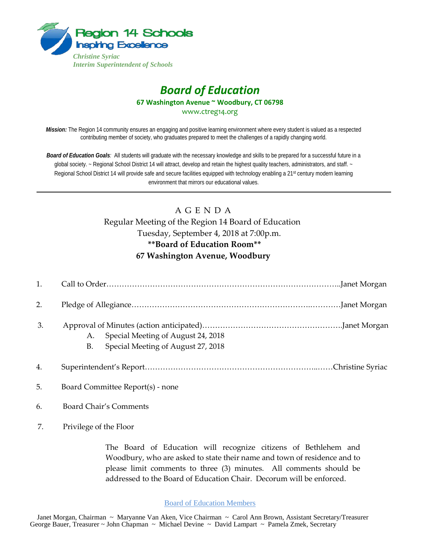

## *Board of Education* **67 Washington Avenue ~ Woodbury, CT 06798** www.ctreg14.org

*Mission:* The Region 14 community ensures an engaging and positive learning environment where every student is valued as a respected contributing member of society, who graduates prepared to meet the challenges of a rapidly changing world.

*Board of Education Goals:* All students will graduate with the necessary knowledge and skills to be prepared for a successful future in a global society. ~ Regional School District 14 will attract, develop and retain the highest quality teachers, administrators, and staff. ~ Regional School District 14 will provide safe and secure facilities equipped with technology enabling a 21<sup>st</sup> century modern learning environment that mirrors our educational values.

# A G E N D A

### Regular Meeting of the Region 14 Board of Education Tuesday, September 4, 2018 at 7:00p.m. **\*\*Board of Education Room\*\* 67 Washington Avenue, Woodbury**

| 2.               |                                                                                      |  |
|------------------|--------------------------------------------------------------------------------------|--|
| 3.               | Special Meeting of August 24, 2018<br>A.<br>Special Meeting of August 27, 2018<br>B. |  |
| $\overline{4}$ . |                                                                                      |  |
|                  |                                                                                      |  |

- 5. Board Committee Report(s) none
- 6. Board Chair's Comments
- 7. Privilege of the Floor

The Board of Education will recognize citizens of Bethlehem and Woodbury, who are asked to state their name and town of residence and to please limit comments to three (3) minutes. All comments should be addressed to the Board of Education Chair. Decorum will be enforced.

#### Board of Education Members